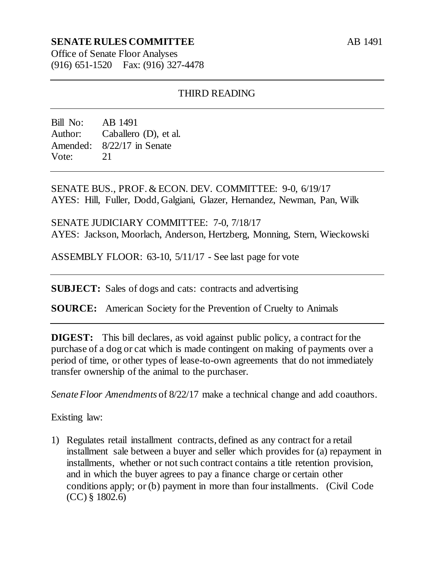## **SENATE RULES COMMITTEE**

AB 1491

Office of Senate Floor Analyses (916) 651-1520 Fax: (916) 327-4478

### THIRD READING

Bill No: AB 1491 Author: Caballero (D), et al. Amended: 8/22/17 in Senate Vote: 21

SENATE BUS., PROF. & ECON. DEV. COMMITTEE: 9-0, 6/19/17 AYES: Hill, Fuller, Dodd, Galgiani, Glazer, Hernandez, Newman, Pan, Wilk

SENATE JUDICIARY COMMITTEE: 7-0, 7/18/17 AYES: Jackson, Moorlach, Anderson, Hertzberg, Monning, Stern, Wieckowski

ASSEMBLY FLOOR: 63-10, 5/11/17 - See last page for vote

**SUBJECT:** Sales of dogs and cats: contracts and advertising

**SOURCE:** American Society for the Prevention of Cruelty to Animals

**DIGEST:** This bill declares, as void against public policy, a contract for the purchase of a dog or cat which is made contingent on making of payments over a period of time, or other types of lease-to-own agreements that do not immediately transfer ownership of the animal to the purchaser.

*Senate Floor Amendments* of 8/22/17 make a technical change and add coauthors.

Existing law:

1) Regulates retail installment contracts, defined as any contract for a retail installment sale between a buyer and seller which provides for (a) repayment in installments, whether or not such contract contains a title retention provision, and in which the buyer agrees to pay a finance charge or certain other conditions apply; or (b) payment in more than four installments. (Civil Code (CC) § 1802.6)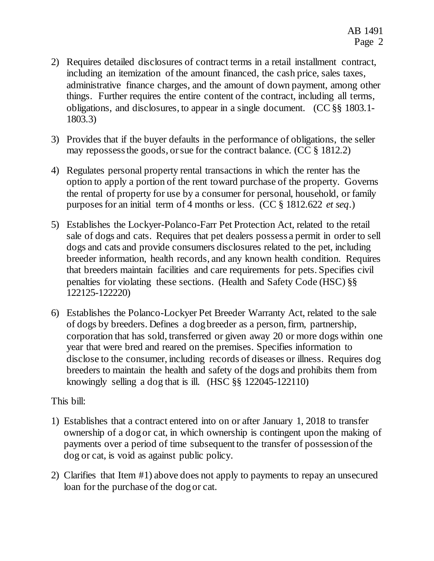- 2) Requires detailed disclosures of contract terms in a retail installment contract, including an itemization of the amount financed, the cash price, sales taxes, administrative finance charges, and the amount of down payment, among other things. Further requires the entire content of the contract, including all terms, obligations, and disclosures, to appear in a single document. (CC §§ 1803.1- 1803.3)
- 3) Provides that if the buyer defaults in the performance of obligations, the seller may repossess the goods, or sue for the contract balance. (CC § 1812.2)
- 4) Regulates personal property rental transactions in which the renter has the option to apply a portion of the rent toward purchase of the property. Governs the rental of property for use by a consumer for personal, household, or family purposes for an initial term of 4 months or less. (CC § 1812.622 *et seq*.)
- 5) Establishes the Lockyer-Polanco-Farr Pet Protection Act, related to the retail sale of dogs and cats. Requires that pet dealers possess a permit in order to sell dogs and cats and provide consumers disclosures related to the pet, including breeder information, health records, and any known health condition. Requires that breeders maintain facilities and care requirements for pets. Specifies civil penalties for violating these sections. (Health and Safety Code (HSC) §§ 122125-122220)
- 6) Establishes the Polanco-Lockyer Pet Breeder Warranty Act, related to the sale of dogs by breeders. Defines a dog breeder as a person, firm, partnership, corporation that has sold, transferred or given away 20 or more dogs within one year that were bred and reared on the premises. Specifies information to disclose to the consumer, including records of diseases or illness. Requires dog breeders to maintain the health and safety of the dogs and prohibits them from knowingly selling a dog that is ill. (HSC §§ 122045-122110)

## This bill:

- 1) Establishes that a contract entered into on or after January 1, 2018 to transfer ownership of a dog or cat, in which ownership is contingent upon the making of payments over a period of time subsequent to the transfer of possession of the dog or cat, is void as against public policy.
- 2) Clarifies that Item #1) above does not apply to payments to repay an unsecured loan for the purchase of the dog or cat.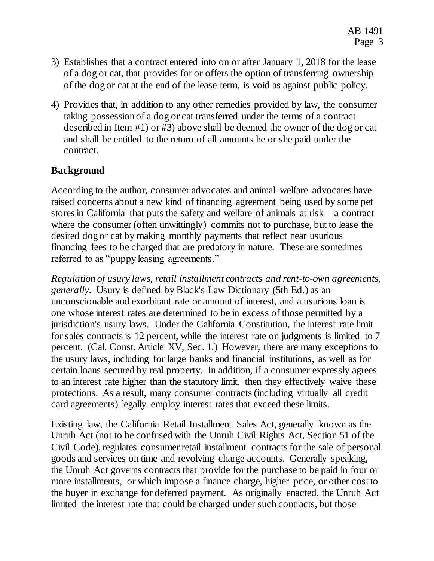- 3) Establishes that a contract entered into on or after January 1, 2018 for the lease of a dog or cat, that provides for or offers the option of transferring ownership of the dog or cat at the end of the lease term, is void as against public policy.
- 4) Provides that, in addition to any other remedies provided by law, the consumer taking possession of a dog or cat transferred under the terms of a contract described in Item #1) or #3) above shall be deemed the owner of the dog or cat and shall be entitled to the return of all amounts he or she paid under the contract.

# **Background**

According to the author, consumer advocates and animal welfare advocates have raised concerns about a new kind of financing agreement being used by some pet stores in California that puts the safety and welfare of animals at risk—a contract where the consumer (often unwittingly) commits not to purchase, but to lease the desired dog or cat by making monthly payments that reflect near usurious financing fees to be charged that are predatory in nature. These are sometimes referred to as "puppy leasing agreements."

*Regulation of usury laws, retail installment contracts and rent-to-own agreements, generally*. Usury is defined by Black's Law Dictionary (5th Ed.) as an unconscionable and exorbitant rate or amount of interest, and a usurious loan is one whose interest rates are determined to be in excess of those permitted by a jurisdiction's usury laws. Under the California Constitution, the interest rate limit for sales contracts is 12 percent, while the interest rate on judgments is limited to 7 percent. (Cal. Const. Article XV, Sec. 1.) However, there are many exceptions to the usury laws, including for large banks and financial institutions, as well as for certain loans secured by real property. In addition, if a consumer expressly agrees to an interest rate higher than the statutory limit, then they effectively waive these protections. As a result, many consumer contracts (including virtually all credit card agreements) legally employ interest rates that exceed these limits.

Existing law, the California Retail Installment Sales Act, generally known as the Unruh Act (not to be confused with the Unruh Civil Rights Act, Section 51 of the Civil Code), regulates consumer retail installment contracts for the sale of personal goods and services on time and revolving charge accounts. Generally speaking, the Unruh Act governs contracts that provide for the purchase to be paid in four or more installments, or which impose a finance charge, higher price, or other cost to the buyer in exchange for deferred payment. As originally enacted, the Unruh Act limited the interest rate that could be charged under such contracts, but those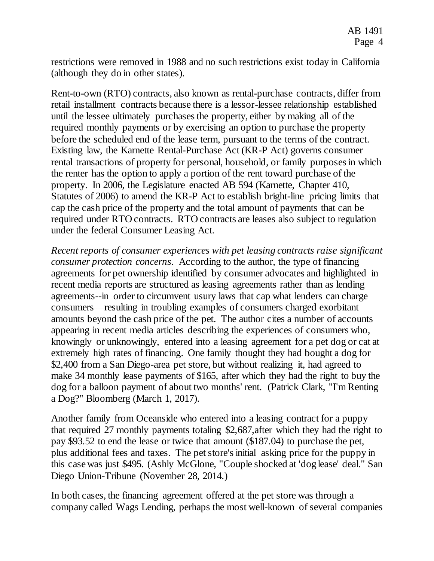restrictions were removed in 1988 and no such restrictions exist today in California (although they do in other states).

Rent-to-own (RTO) contracts, also known as rental-purchase contracts, differ from retail installment contracts because there is a lessor-lessee relationship established until the lessee ultimately purchases the property, either by making all of the required monthly payments or by exercising an option to purchase the property before the scheduled end of the lease term, pursuant to the terms of the contract. Existing law, the Karnette Rental-Purchase Act (KR-P Act) governs consumer rental transactions of property for personal, household, or family purposes in which the renter has the option to apply a portion of the rent toward purchase of the property. In 2006, the Legislature enacted AB 594 (Karnette, Chapter 410, Statutes of 2006) to amend the KR-P Act to establish bright-line pricing limits that cap the cash price of the property and the total amount of payments that can be required under RTO contracts. RTO contracts are leases also subject to regulation under the federal Consumer Leasing Act.

*Recent reports of consumer experiences with pet leasing contracts raise significant consumer protection concerns*. According to the author, the type of financing agreements for pet ownership identified by consumer advocates and highlighted in recent media reports are structured as leasing agreements rather than as lending agreements--in order to circumvent usury laws that cap what lenders can charge consumers—resulting in troubling examples of consumers charged exorbitant amounts beyond the cash price of the pet. The author cites a number of accounts appearing in recent media articles describing the experiences of consumers who, knowingly or unknowingly, entered into a leasing agreement for a pet dog or cat at extremely high rates of financing. One family thought they had bought a dog for \$2,400 from a San Diego-area pet store, but without realizing it, had agreed to make 34 monthly lease payments of \$165, after which they had the right to buy the dog for a balloon payment of about two months' rent. (Patrick Clark, "I'm Renting a Dog?" Bloomberg (March 1, 2017).

Another family from Oceanside who entered into a leasing contract for a puppy that required 27 monthly payments totaling \$2,687,after which they had the right to pay \$93.52 to end the lease or twice that amount (\$187.04) to purchase the pet, plus additional fees and taxes. The pet store's initial asking price for the puppy in this case was just \$495. (Ashly McGlone, "Couple shocked at 'dog lease' deal." San Diego Union-Tribune (November 28, 2014.)

In both cases, the financing agreement offered at the pet store was through a company called Wags Lending, perhaps the most well-known of several companies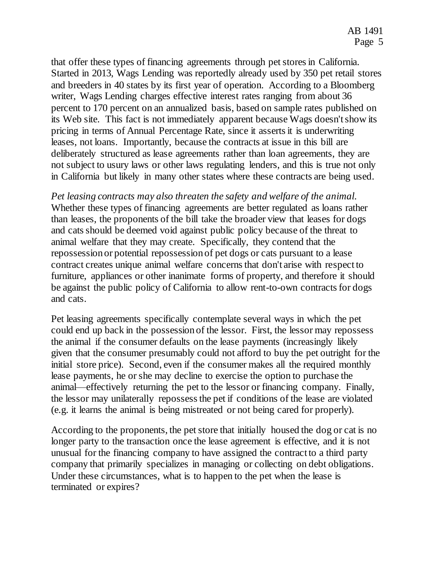that offer these types of financing agreements through pet stores in California. Started in 2013, Wags Lending was reportedly already used by 350 pet retail stores and breeders in 40 states by its first year of operation. According to a Bloomberg writer, Wags Lending charges effective interest rates ranging from about 36 percent to 170 percent on an annualized basis, based on sample rates published on its Web site. This fact is not immediately apparent because Wags doesn't show its pricing in terms of Annual Percentage Rate, since it asserts it is underwriting leases, not loans. Importantly, because the contracts at issue in this bill are deliberately structured as lease agreements rather than loan agreements, they are not subject to usury laws or other laws regulating lenders, and this is true not only in California but likely in many other states where these contracts are being used.

*Pet leasing contracts may also threaten the safety and welfare of the animal.*  Whether these types of financing agreements are better regulated as loans rather than leases, the proponents of the bill take the broader view that leases for dogs and cats should be deemed void against public policy because of the threat to animal welfare that they may create. Specifically, they contend that the repossession or potential repossession of pet dogs or cats pursuant to a lease contract creates unique animal welfare concerns that don't arise with respect to furniture, appliances or other inanimate forms of property, and therefore it should be against the public policy of California to allow rent-to-own contracts for dogs and cats.

Pet leasing agreements specifically contemplate several ways in which the pet could end up back in the possession of the lessor. First, the lessor may repossess the animal if the consumer defaults on the lease payments (increasingly likely given that the consumer presumably could not afford to buy the pet outright for the initial store price). Second, even if the consumer makes all the required monthly lease payments, he or she may decline to exercise the option to purchase the animal—effectively returning the pet to the lessor or financing company. Finally, the lessor may unilaterally repossess the pet if conditions of the lease are violated (e.g. it learns the animal is being mistreated or not being cared for properly).

According to the proponents, the pet store that initially housed the dog or cat is no longer party to the transaction once the lease agreement is effective, and it is not unusual for the financing company to have assigned the contract to a third party company that primarily specializes in managing or collecting on debt obligations. Under these circumstances, what is to happen to the pet when the lease is terminated or expires?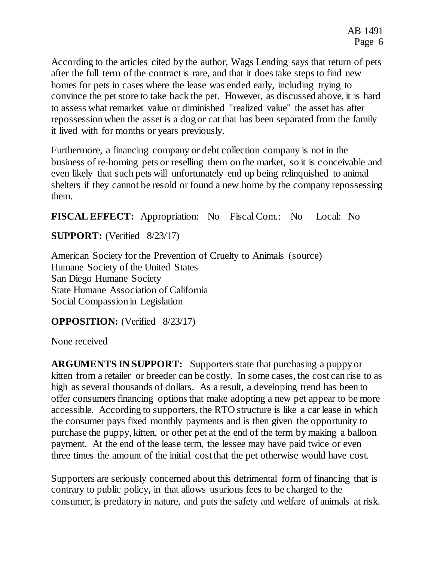According to the articles cited by the author, Wags Lending says that return of pets after the full term of the contract is rare, and that it does take steps to find new homes for pets in cases where the lease was ended early, including trying to convince the pet store to take back the pet. However, as discussed above, it is hard to assess what remarket value or diminished "realized value" the asset has after repossession when the asset is a dog or cat that has been separated from the family it lived with for months or years previously.

Furthermore, a financing company or debt collection company is not in the business of re-homing pets or reselling them on the market, so it is conceivable and even likely that such pets will unfortunately end up being relinquished to animal shelters if they cannot be resold or found a new home by the company repossessing them.

**FISCAL EFFECT:** Appropriation: No Fiscal Com.: No Local: No

**SUPPORT:** (Verified 8/23/17)

American Society for the Prevention of Cruelty to Animals (source) Humane Society of the United States San Diego Humane Society State Humane Association of California Social Compassion in Legislation

## **OPPOSITION:** (Verified 8/23/17)

None received

**ARGUMENTS IN SUPPORT:** Supporters state that purchasing a puppy or kitten from a retailer or breeder can be costly. In some cases, the cost can rise to as high as several thousands of dollars. As a result, a developing trend has been to offer consumers financing options that make adopting a new pet appear to be more accessible. According to supporters, the RTO structure is like a car lease in which the consumer pays fixed monthly payments and is then given the opportunity to purchase the puppy, kitten, or other pet at the end of the term by making a balloon payment. At the end of the lease term, the lessee may have paid twice or even three times the amount of the initial cost that the pet otherwise would have cost.

Supporters are seriously concerned about this detrimental form of financing that is contrary to public policy, in that allows usurious fees to be charged to the consumer, is predatory in nature, and puts the safety and welfare of animals at risk.